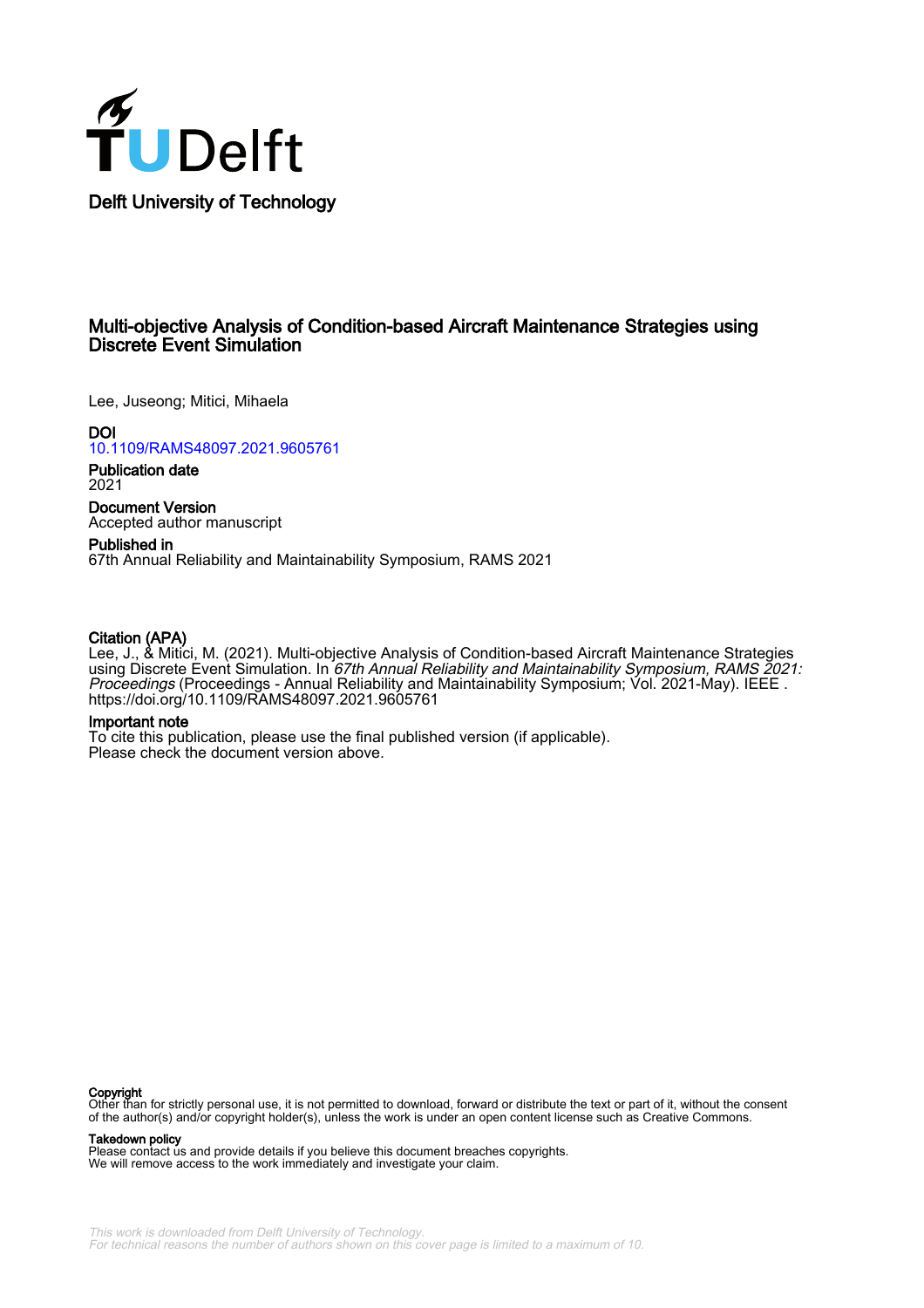

### Multi-objective Analysis of Condition-based Aircraft Maintenance Strategies using Discrete Event Simulation

Lee, Juseong; Mitici, Mihaela

DOI [10.1109/RAMS48097.2021.9605761](https://doi.org/10.1109/RAMS48097.2021.9605761)

Publication date 2021

Document Version Accepted author manuscript

Published in 67th Annual Reliability and Maintainability Symposium, RAMS 2021

#### Citation (APA)

Lee, J., & Mitici, M. (2021). Multi-objective Analysis of Condition-based Aircraft Maintenance Strategies using Discrete Event Simulation. In 67th Annual Reliability and Maintainability Symposium, RAMS 2021: Proceedings (Proceedings - Annual Reliability and Maintainability Symposium; Vol. 2021-May). IEEE . <https://doi.org/10.1109/RAMS48097.2021.9605761>

#### Important note

To cite this publication, please use the final published version (if applicable). Please check the document version above.

**Copyright**<br>Other than for strictly personal use, it is not permitted to download, forward or distribute the text or part of it, without the consent of the author(s) and/or copyright holder(s), unless the work is under an open content license such as Creative Commons.

Takedown policy

Please contact us and provide details if you believe this document breaches copyrights. We will remove access to the work immediately and investigate your claim.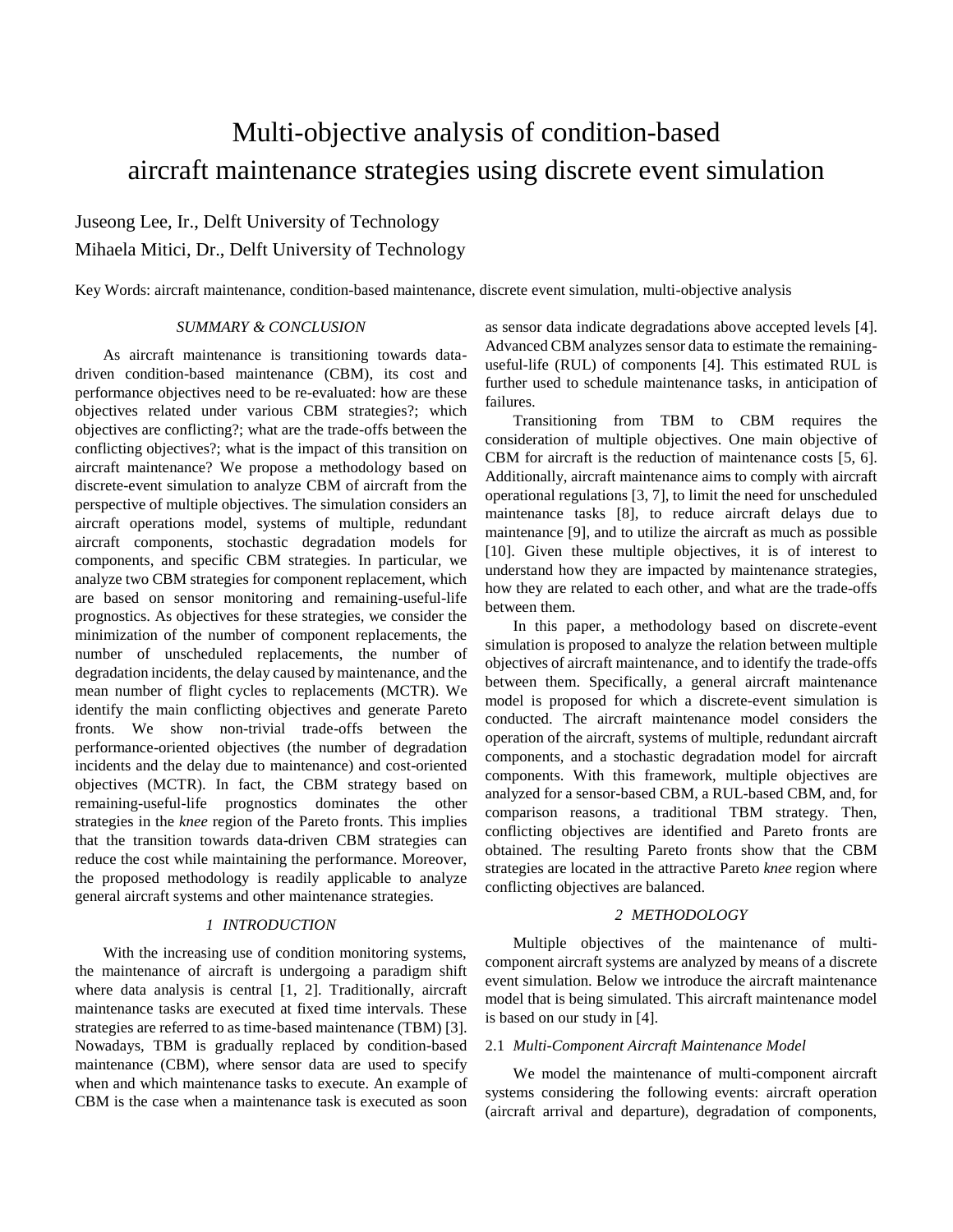# Multi-objective analysis of condition-based aircraft maintenance strategies using discrete event simulation

## Juseong Lee, Ir., Delft University of Technology Mihaela Mitici, Dr., Delft University of Technology

Key Words: aircraft maintenance, condition-based maintenance, discrete event simulation, multi-objective analysis

#### *SUMMARY & CONCLUSION*

As aircraft maintenance is transitioning towards datadriven condition-based maintenance (CBM), its cost and performance objectives need to be re-evaluated: how are these objectives related under various CBM strategies?; which objectives are conflicting?; what are the trade-offs between the conflicting objectives?; what is the impact of this transition on aircraft maintenance? We propose a methodology based on discrete-event simulation to analyze CBM of aircraft from the perspective of multiple objectives. The simulation considers an aircraft operations model, systems of multiple, redundant aircraft components, stochastic degradation models for components, and specific CBM strategies. In particular, we analyze two CBM strategies for component replacement, which are based on sensor monitoring and remaining-useful-life prognostics. As objectives for these strategies, we consider the minimization of the number of component replacements, the number of unscheduled replacements, the number of degradation incidents, the delay caused by maintenance, and the mean number of flight cycles to replacements (MCTR). We identify the main conflicting objectives and generate Pareto fronts. We show non-trivial trade-offs between the performance-oriented objectives (the number of degradation incidents and the delay due to maintenance) and cost-oriented objectives (MCTR). In fact, the CBM strategy based on remaining-useful-life prognostics dominates the other strategies in the *knee* region of the Pareto fronts. This implies that the transition towards data-driven CBM strategies can reduce the cost while maintaining the performance. Moreover, the proposed methodology is readily applicable to analyze general aircraft systems and other maintenance strategies.

#### *1 INTRODUCTION*

With the increasing use of condition monitoring systems, the maintenance of aircraft is undergoing a paradigm shift where data analysis is central [1, 2]. Traditionally, aircraft maintenance tasks are executed at fixed time intervals. These strategies are referred to as time-based maintenance (TBM) [3]. Nowadays, TBM is gradually replaced by condition-based maintenance (CBM), where sensor data are used to specify when and which maintenance tasks to execute. An example of CBM is the case when a maintenance task is executed as soon

as sensor data indicate degradations above accepted levels [4]. Advanced CBM analyzes sensor data to estimate the remaininguseful-life (RUL) of components [4]. This estimated RUL is further used to schedule maintenance tasks, in anticipation of failures.

Transitioning from TBM to CBM requires the consideration of multiple objectives. One main objective of CBM for aircraft is the reduction of maintenance costs [5, 6]. Additionally, aircraft maintenance aims to comply with aircraft operational regulations [3, 7], to limit the need for unscheduled maintenance tasks [8], to reduce aircraft delays due to maintenance [9], and to utilize the aircraft as much as possible [10]. Given these multiple objectives, it is of interest to understand how they are impacted by maintenance strategies, how they are related to each other, and what are the trade-offs between them.

In this paper, a methodology based on discrete-event simulation is proposed to analyze the relation between multiple objectives of aircraft maintenance, and to identify the trade-offs between them. Specifically, a general aircraft maintenance model is proposed for which a discrete-event simulation is conducted. The aircraft maintenance model considers the operation of the aircraft, systems of multiple, redundant aircraft components, and a stochastic degradation model for aircraft components. With this framework, multiple objectives are analyzed for a sensor-based CBM, a RUL-based CBM, and, for comparison reasons, a traditional TBM strategy. Then, conflicting objectives are identified and Pareto fronts are obtained. The resulting Pareto fronts show that the CBM strategies are located in the attractive Pareto *knee* region where conflicting objectives are balanced.

#### *2 METHODOLOGY*

Multiple objectives of the maintenance of multicomponent aircraft systems are analyzed by means of a discrete event simulation. Below we introduce the aircraft maintenance model that is being simulated. This aircraft maintenance model is based on our study in [4].

#### 2.1 *Multi-Component Aircraft Maintenance Model*

We model the maintenance of multi-component aircraft systems considering the following events: aircraft operation (aircraft arrival and departure), degradation of components,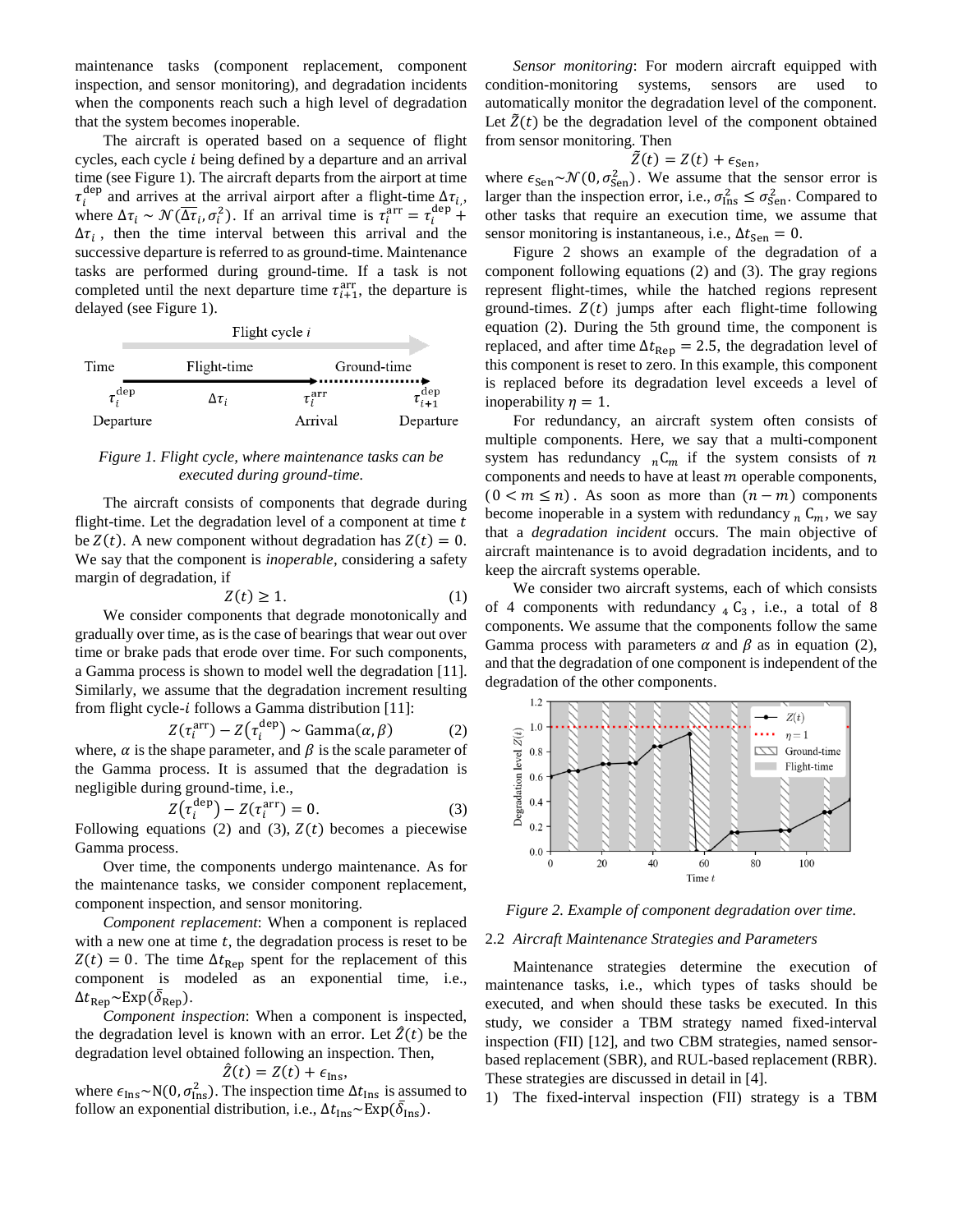maintenance tasks (component replacement, component inspection, and sensor monitoring), and degradation incidents when the components reach such a high level of degradation that the system becomes inoperable.

The aircraft is operated based on a sequence of flight cycles, each cycle  $i$  being defined by a departure and an arrival time (see Figure 1). The aircraft departs from the airport at time  $\tau_i^{\text{dep}}$  and arrives at the arrival airport after a flight-time  $\Delta \tau_i$ , where  $\Delta \tau_i \sim \mathcal{N}(\overline{\Delta \tau_i}, \sigma_i^2)$ . If an arrival time is  $\tau_i^{\text{arr}} = \tau_i^{\text{dep}} + \tau_i^{\text{dep}}$  $\Delta \tau_i$ , then the time interval between this arrival and the successive departure is referred to as ground-time. Maintenance tasks are performed during ground-time. If a task is not completed until the next departure time  $\tau_{i+1}^{\text{arr}}$ , the departure is delayed (see Figure 1).

|  |  | Flight cycle <i>i</i> |  |
|--|--|-----------------------|--|
|  |  |                       |  |

| Time               | Flight-time    | Ground-time      |                           |  |
|--------------------|----------------|------------------|---------------------------|--|
| $\tau_i^{\rm dep}$ | $\Delta\tau$ ; | $\tau^{\rm arr}$ | $\tau_{i+1}^{\text{dep}}$ |  |
| Departure          |                | Arrival          | Departure                 |  |

#### *Figure 1. Flight cycle, where maintenance tasks can be executed during ground-time.*

The aircraft consists of components that degrade during flight-time. Let the degradation level of a component at time  $t$ be  $Z(t)$ . A new component without degradation has  $Z(t) = 0$ . We say that the component is *inoperable,* considering a safety margin of degradation, if

$$
Z(t) \ge 1. \tag{1}
$$

We consider components that degrade monotonically and gradually over time, as is the case of bearings that wear out over time or brake pads that erode over time. For such components, a Gamma process is shown to model well the degradation [11]. Similarly, we assume that the degradation increment resulting from flight cycle- $i$  follows a Gamma distribution [11]:

$$
Z(\tau_i^{\text{arr}}) - Z(\tau_i^{\text{dep}}) \sim \text{Gamma}(\alpha, \beta) \tag{2}
$$

where,  $\alpha$  is the shape parameter, and  $\beta$  is the scale parameter of the Gamma process. It is assumed that the degradation is negligible during ground-time, i.e.,

$$
Z(\tau_i^{\text{dep}}) - Z(\tau_i^{\text{arr}}) = 0. \tag{3}
$$

Following equations (2) and (3),  $Z(t)$  becomes a piecewise Gamma process.

Over time, the components undergo maintenance. As for the maintenance tasks, we consider component replacement, component inspection, and sensor monitoring.

*Component replacement*: When a component is replaced with a new one at time  $t$ , the degradation process is reset to be  $Z(t) = 0$ . The time  $\Delta t_{\text{Rep}}$  spent for the replacement of this component is modeled as an exponential time, i.e.,  $\Delta t_{\rm Rep} \sim \text{Exp}(\bar{\delta}_{\rm Rep}).$ 

*Component inspection*: When a component is inspected, the degradation level is known with an error. Let  $\hat{Z}(t)$  be the degradation level obtained following an inspection. Then,

$$
\hat{Z}(t) = Z(t) + \epsilon_{\text{Ins}},
$$

where  $\epsilon_{\text{Ins}} \sim N(0, \sigma_{\text{Ins}}^2)$ . The inspection time  $\Delta t_{\text{Ins}}$  is assumed to follow an exponential distribution, i.e.,  $\Delta t_{\text{Ins}} \sim \text{Exp}(\bar{\delta}_{\text{Ins}})$ .

*Sensor monitoring*: For modern aircraft equipped with condition-monitoring systems, sensors are used to automatically monitor the degradation level of the component. Let  $\tilde{Z}(t)$  be the degradation level of the component obtained from sensor monitoring. Then

$$
\tilde{Z}(t) = Z(t) + \epsilon_{\text{Sen}},
$$

where  $\epsilon_{\text{Sen}} \sim \mathcal{N}(0, \sigma_{\text{Sen}}^2)$ . We assume that the sensor error is larger than the inspection error, i.e.,  $\sigma_{\text{Ins}}^2 \leq \sigma_{\text{Sen}}^2$ . Compared to other tasks that require an execution time, we assume that sensor monitoring is instantaneous, i.e.,  $\Delta t_{\rm Sen} = 0$ .

Figure 2 shows an example of the degradation of a component following equations (2) and (3). The gray regions represent flight-times, while the hatched regions represent ground-times.  $Z(t)$  jumps after each flight-time following equation (2). During the 5th ground time, the component is replaced, and after time  $\Delta t_{\rm Rep} = 2.5$ , the degradation level of this component is reset to zero. In this example, this component is replaced before its degradation level exceeds a level of inoperability  $\eta = 1$ .

For redundancy, an aircraft system often consists of multiple components. Here, we say that a multi-component system has redundancy  ${}_{n}C_{m}$  if the system consists of n components and needs to have at least  $m$  operable components,  $(0 < m \le n)$ . As soon as more than  $(n - m)$  components become inoperable in a system with redundancy  $_n$  C<sub>m</sub>, we say that a *degradation incident* occurs. The main objective of aircraft maintenance is to avoid degradation incidents, and to keep the aircraft systems operable.

We consider two aircraft systems, each of which consists of 4 components with redundancy  $_4$  C<sub>3</sub>, i.e., a total of 8 components. We assume that the components follow the same Gamma process with parameters  $\alpha$  and  $\beta$  as in equation (2), and that the degradation of one component is independent of the degradation of the other components.



*Figure 2. Example of component degradation over time.*

#### 2.2 *Aircraft Maintenance Strategies and Parameters*

Maintenance strategies determine the execution of maintenance tasks, i.e., which types of tasks should be executed, and when should these tasks be executed. In this study, we consider a TBM strategy named fixed-interval inspection (FII) [12], and two CBM strategies, named sensorbased replacement (SBR), and RUL-based replacement (RBR). These strategies are discussed in detail in [4].

1) The fixed-interval inspection (FII) strategy is a TBM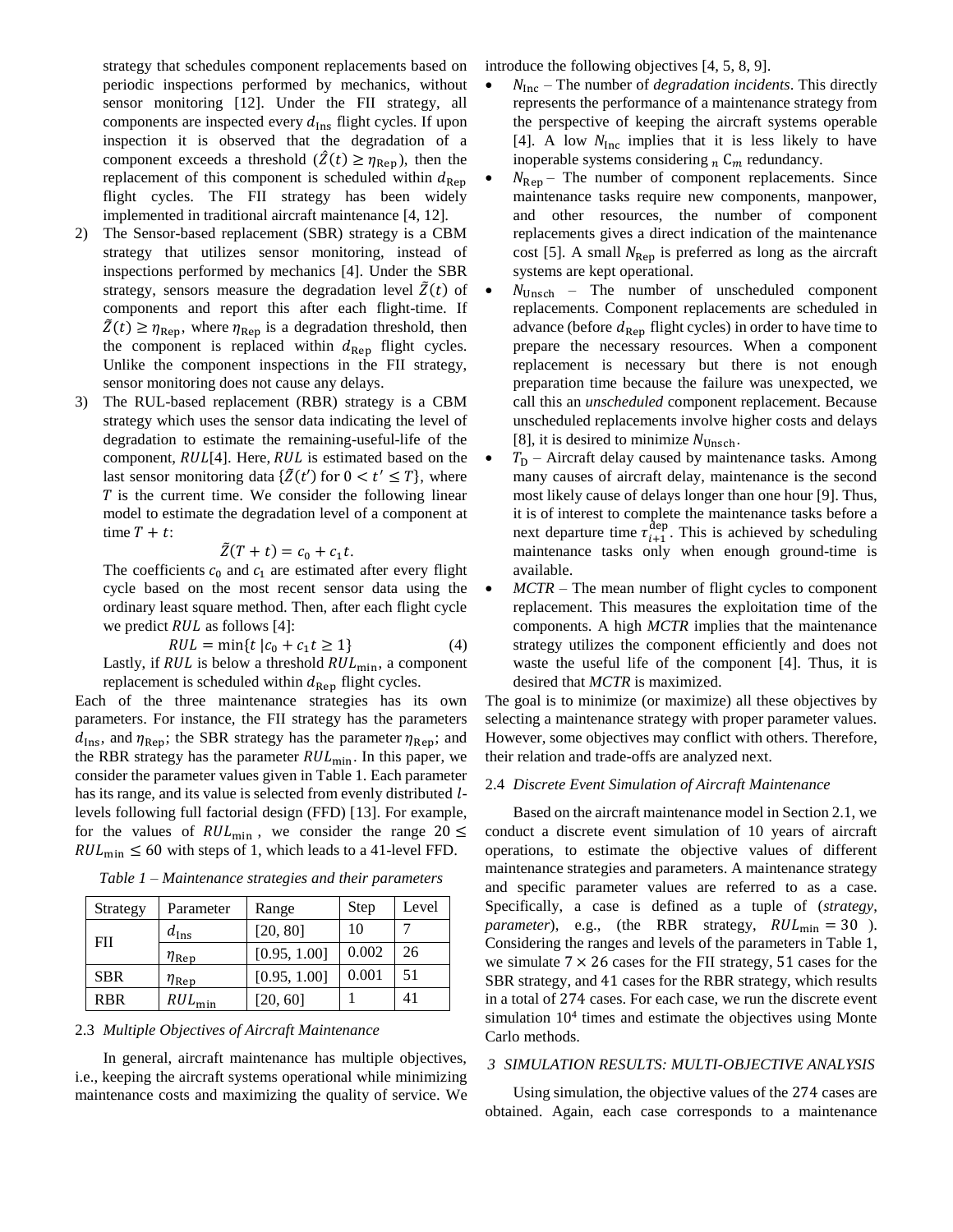strategy that schedules component replacements based on periodic inspections performed by mechanics, without sensor monitoring [12]. Under the FII strategy, all components are inspected every  $d_{\text{Ins}}$  flight cycles. If upon inspection it is observed that the degradation of a component exceeds a threshold  $(Z(t) \ge \eta_{\text{Rep}})$ , then the replacement of this component is scheduled within  $d_{\text{Rep}}$ flight cycles. The FII strategy has been widely implemented in traditional aircraft maintenance [4, 12].

- 2) The Sensor-based replacement (SBR) strategy is a CBM strategy that utilizes sensor monitoring, instead of inspections performed by mechanics [4]. Under the SBR strategy, sensors measure the degradation level  $\tilde{Z}(t)$  of components and report this after each flight-time. If  $\tilde{Z}(t) \geq \eta_{\text{Rep}}$ , where  $\eta_{\text{Rep}}$  is a degradation threshold, then the component is replaced within  $d_{\text{Rep}}$  flight cycles. Unlike the component inspections in the FII strategy, sensor monitoring does not cause any delays.
- 3) The RUL-based replacement (RBR) strategy is a CBM strategy which uses the sensor data indicating the level of degradation to estimate the remaining-useful-life of the component,  $RUL[4]$ . Here,  $RUL$  is estimated based on the last sensor monitoring data  $\{\tilde{Z}(t')\}$  for  $0 < t' \leq T\}$ , where  $T$  is the current time. We consider the following linear model to estimate the degradation level of a component at time  $T + t$ :

$$
\tilde{Z}(T+t) = c_0 + c_1 t.
$$

The coefficients  $c_0$  and  $c_1$  are estimated after every flight cycle based on the most recent sensor data using the ordinary least square method. Then, after each flight cycle we predict  $RUL$  as follows [4]:

$$
RUL = \min\{t \mid c_0 + c_1 t \ge 1\}
$$
 (4)

Lastly, if  $RUL$  is below a threshold  $RUL_{\text{min}}$ , a component replacement is scheduled within  $d_{\text{Rep}}$  flight cycles.

Each of the three maintenance strategies has its own parameters. For instance, the FII strategy has the parameters  $d_{\text{Ins}}$ , and  $\eta_{\text{Rep}}$ ; the SBR strategy has the parameter  $\eta_{\text{Rep}}$ ; and the RBR strategy has the parameter  $RUL_{\text{min}}$ . In this paper, we consider the parameter values given in Table 1. Each parameter has its range, and its value is selected from evenly distributed *l*levels following full factorial design (FFD) [13]. For example, for the values of  $RUL_{\text{min}}$ , we consider the range  $20 \le$  $RUL_{\text{min}} \leq 60$  with steps of 1, which leads to a 41-level FFD.

| Strategy   | Parameter          | Range        | Step  | Level |
|------------|--------------------|--------------|-------|-------|
|            | $d_{\text{Ins}}$   | [20, 80]     | 10    |       |
| FII        | $\eta_{\rm Rep}$   | [0.95, 1.00] | 0.002 | 26    |
| <b>SBR</b> | $\eta_{\rm Rep}$   | [0.95, 1.00] | 0.001 | 51    |
| <b>RBR</b> | $RUL_{\text{min}}$ | [20, 60]     |       | 41    |

*Table 1 – Maintenance strategies and their parameters*

#### 2.3 *Multiple Objectives of Aircraft Maintenance*

In general, aircraft maintenance has multiple objectives, i.e., keeping the aircraft systems operational while minimizing maintenance costs and maximizing the quality of service. We introduce the following objectives [4, 5, 8, 9].

- $\bullet$   $N_{\text{Inc}}$  The number of *degradation incidents*. This directly represents the performance of a maintenance strategy from the perspective of keeping the aircraft systems operable [4]. A low  $N_{\text{inc}}$  implies that it is less likely to have inoperable systems considering  $_n$   $C_m$  redundancy.
- $N_{\text{Rep}}$  The number of component replacements. Since maintenance tasks require new components, manpower, and other resources, the number of component replacements gives a direct indication of the maintenance cost [5]. A small  $N_{\text{Rep}}$  is preferred as long as the aircraft systems are kept operational.
- $\bullet$   $N_{\text{Unsch}}$  The number of unscheduled component replacements. Component replacements are scheduled in advance (before  $d_{\text{Rep}}$  flight cycles) in order to have time to prepare the necessary resources. When a component replacement is necessary but there is not enough preparation time because the failure was unexpected, we call this an *unscheduled* component replacement. Because unscheduled replacements involve higher costs and delays [8], it is desired to minimize  $N_{Unsch}$ .
- $T_D$  Aircraft delay caused by maintenance tasks. Among many causes of aircraft delay, maintenance is the second most likely cause of delays longer than one hour [9]. Thus, it is of interest to complete the maintenance tasks before a next departure time  $\tau_{i+1}^{\text{dep}}$ . This is achieved by scheduling maintenance tasks only when enough ground-time is available.
- *MCTR* The mean number of flight cycles to component replacement. This measures the exploitation time of the components. A high *MCTR* implies that the maintenance strategy utilizes the component efficiently and does not waste the useful life of the component [4]. Thus, it is desired that *MCTR* is maximized.

The goal is to minimize (or maximize) all these objectives by selecting a maintenance strategy with proper parameter values. However, some objectives may conflict with others. Therefore, their relation and trade-offs are analyzed next.

#### 2.4 *Discrete Event Simulation of Aircraft Maintenance*

Based on the aircraft maintenance model in Section 2.1, we conduct a discrete event simulation of 10 years of aircraft operations, to estimate the objective values of different maintenance strategies and parameters. A maintenance strategy and specific parameter values are referred to as a case. Specifically, a case is defined as a tuple of (*strategy*, *parameter*), e.g., (the RBR strategy,  $RUL_{\text{min}} = 30$  ). Considering the ranges and levels of the parameters in Table 1, we simulate  $7 \times 26$  cases for the FII strategy, 51 cases for the SBR strategy, and 41 cases for the RBR strategy, which results in a total of 274 cases. For each case, we run the discrete event simulation 10<sup>4</sup> times and estimate the objectives using Monte Carlo methods.

#### *3 SIMULATION RESULTS: MULTI-OBJECTIVE ANALYSIS*

Using simulation, the objective values of the 274 cases are obtained. Again, each case corresponds to a maintenance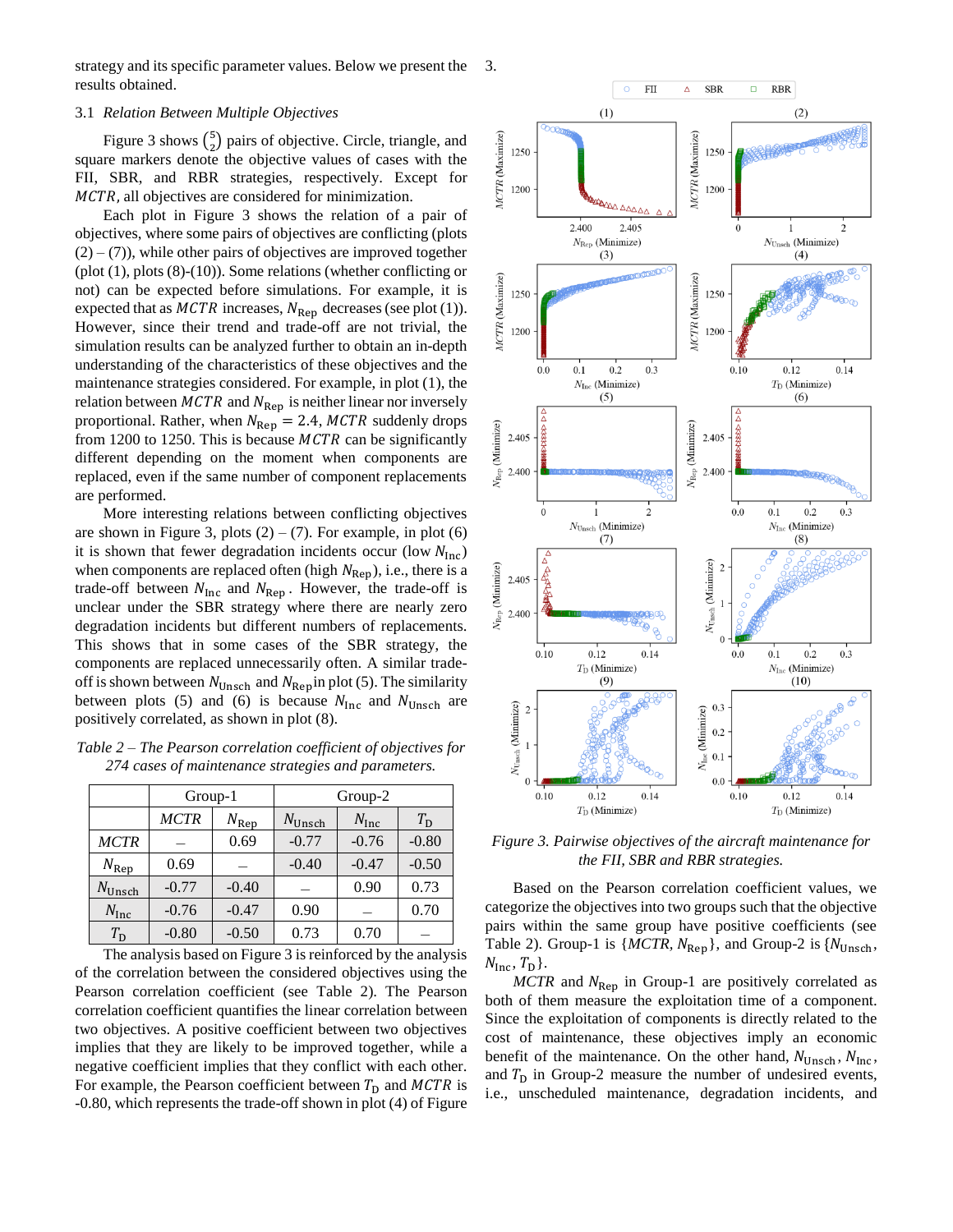strategy and its specific parameter values. Below we present the results obtained. 3.

#### 3.1 *Relation Between Multiple Objectives*

Figure 3 shows  $\binom{5}{3}$  $_{2}^{5}$ ) pairs of objective. Circle, triangle, and square markers denote the objective values of cases with the FII, SBR, and RBR strategies, respectively. Except for MCTR, all objectives are considered for minimization.

Each plot in Figure 3 shows the relation of a pair of objectives, where some pairs of objectives are conflicting (plots  $(2) - (7)$ , while other pairs of objectives are improved together (plot (1), plots (8)-(10)). Some relations (whether conflicting or not) can be expected before simulations. For example, it is expected that as  $MCTR$  increases,  $N_{\text{Rep}}$  decreases (see plot (1)). However, since their trend and trade-off are not trivial, the simulation results can be analyzed further to obtain an in-depth understanding of the characteristics of these objectives and the maintenance strategies considered. For example, in plot (1), the relation between  $MCTR$  and  $N_{\text{Rep}}$  is neither linear nor inversely proportional. Rather, when  $N_{\text{Rep}} = 2.4$ , MCTR suddenly drops from 1200 to 1250. This is because  $MCTR$  can be significantly different depending on the moment when components are replaced, even if the same number of component replacements are performed.

More interesting relations between conflicting objectives are shown in Figure 3, plots  $(2) - (7)$ . For example, in plot  $(6)$ it is shown that fewer degradation incidents occur (low  $N_{\text{Inc}}$ ) when components are replaced often (high  $N_{\text{Rep}}$ ), i.e., there is a trade-off between  $N_{\text{Inc}}$  and  $N_{\text{Rep}}$ . However, the trade-off is unclear under the SBR strategy where there are nearly zero degradation incidents but different numbers of replacements. This shows that in some cases of the SBR strategy, the components are replaced unnecessarily often. A similar tradeoff is shown between  $N_{Unsch}$  and  $N_{Rep}$  in plot (5). The similarity between plots (5) and (6) is because  $N_{\text{Inc}}$  and  $N_{\text{Unsch}}$  are positively correlated, as shown in plot (8).

*Table 2 – The Pearson correlation coefficient of objectives for 274 cases of maintenance strategies and parameters.*

|                    | Group-1     |               | Group-2            |                  |             |  |
|--------------------|-------------|---------------|--------------------|------------------|-------------|--|
|                    | <b>MCTR</b> | $N_{\rm Rep}$ | $N_{\text{Unsch}}$ | $N_{\text{Inc}}$ | $T_{\rm D}$ |  |
| <b>MCTR</b>        |             | 0.69          | $-0.77$            | $-0.76$          | $-0.80$     |  |
| $N_{\rm Rep}$      | 0.69        |               | $-0.40$            | $-0.47$          | $-0.50$     |  |
| $N_{\text{Unsch}}$ | $-0.77$     | $-0.40$       |                    | 0.90             | 0.73        |  |
| $N_{\text{Inc}}$   | $-0.76$     | $-0.47$       | 0.90               |                  | 0.70        |  |
| $T_{\rm D}$        | $-0.80$     | $-0.50$       | 0.73               | 0.70             |             |  |

The analysis based on Figure 3 is reinforced by the analysis of the correlation between the considered objectives using the Pearson correlation coefficient (see Table 2). The Pearson correlation coefficient quantifies the linear correlation between two objectives. A positive coefficient between two objectives implies that they are likely to be improved together, while a negative coefficient implies that they conflict with each other. For example, the Pearson coefficient between  $T_D$  and  $MCTR$  is -0.80, which represents the trade-off shown in plot (4) of Figure



*Figure 3. Pairwise objectives of the aircraft maintenance for the FII, SBR and RBR strategies.*

Based on the Pearson correlation coefficient values, we categorize the objectives into two groups such that the objective pairs within the same group have positive coefficients (see Table 2). Group-1 is  $\{MCTR, N_{\text{Rep}}\}$ , and Group-2 is  $\{N_{\text{Unsch}}\}$ ,  $N_{\text{Inc}}, T_{\text{D}}$ .

 $MCTR$  and  $N_{\text{Rep}}$  in Group-1 are positively correlated as both of them measure the exploitation time of a component. Since the exploitation of components is directly related to the cost of maintenance, these objectives imply an economic benefit of the maintenance. On the other hand,  $N_{\text{Unsch}}$ ,  $N_{\text{inc}}$ , and  $T<sub>D</sub>$  in Group-2 measure the number of undesired events, i.e., unscheduled maintenance, degradation incidents, and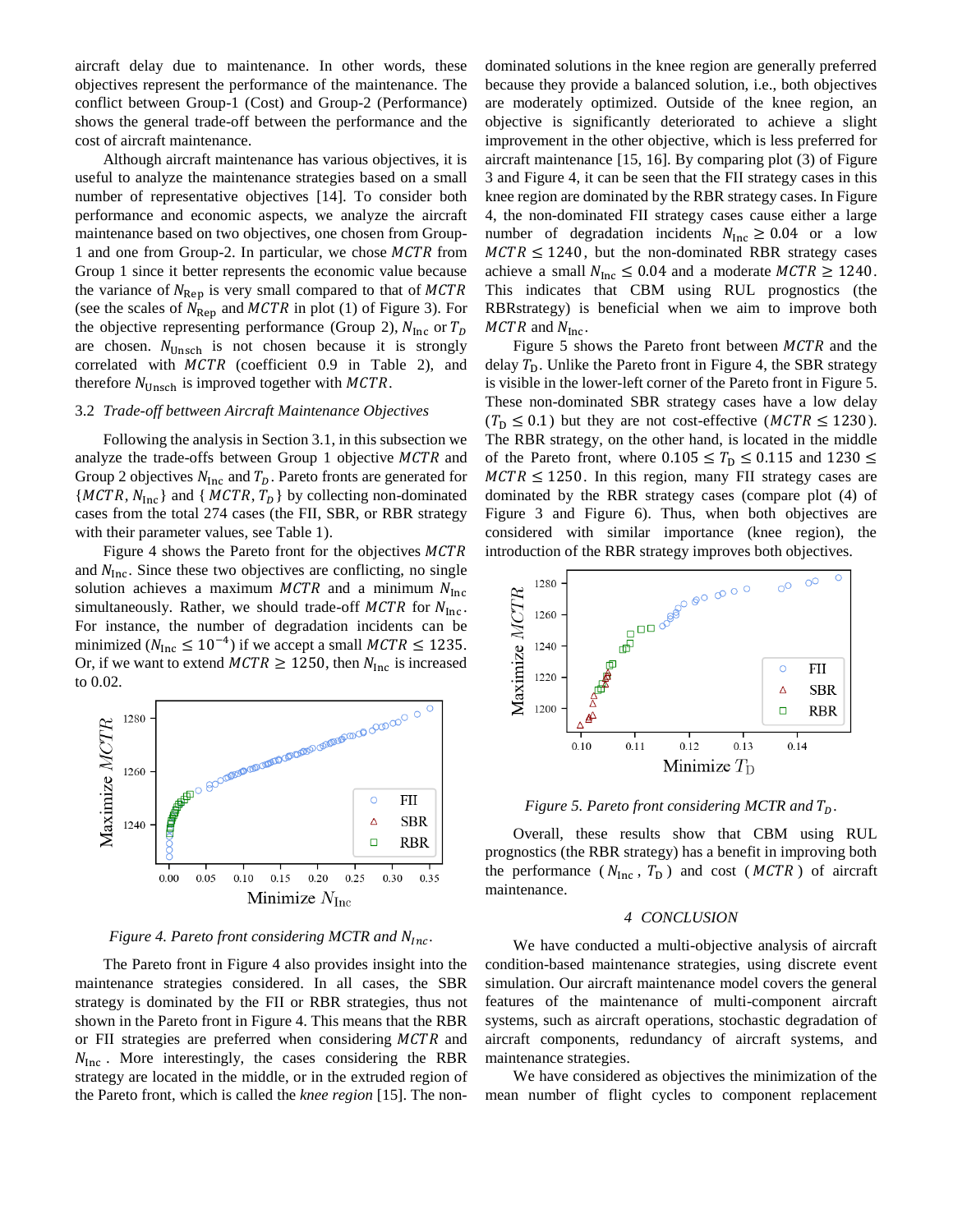aircraft delay due to maintenance. In other words, these objectives represent the performance of the maintenance. The conflict between Group-1 (Cost) and Group-2 (Performance) shows the general trade-off between the performance and the cost of aircraft maintenance.

Although aircraft maintenance has various objectives, it is useful to analyze the maintenance strategies based on a small number of representative objectives [14]. To consider both performance and economic aspects, we analyze the aircraft maintenance based on two objectives, one chosen from Group-1 and one from Group-2. In particular, we chose  $MCTR$  from Group 1 since it better represents the economic value because the variance of  $N_{\text{Rep}}$  is very small compared to that of MCTR (see the scales of  $N_{\text{Rep}}$  and  $MCTR$  in plot (1) of Figure 3). For the objective representing performance (Group 2),  $N_{\text{Inc}}$  or  $T_D$ are chosen.  $N_{\text{Unsch}}$  is not chosen because it is strongly correlated with  $MCTR$  (coefficient 0.9 in Table 2), and therefore  $N_{\text{Unsch}}$  is improved together with  $MCTR$ .

#### 3.2 *Trade-off bettween Aircraft Maintenance Objectives*

Following the analysis in Section 3.1, in this subsection we analyze the trade-offs between Group 1 objective  $MCTR$  and Group 2 objectives  $N_{\text{Inc}}$  and  $T_D$ . Pareto fronts are generated for  ${MCTR, N_{inc}}$  and  ${MCTR, T_D}$  by collecting non-dominated cases from the total 274 cases (the FII, SBR, or RBR strategy with their parameter values, see Table 1).

Figure 4 shows the Pareto front for the objectives MCTR and  $N_{\text{Inc}}$ . Since these two objectives are conflicting, no single solution achieves a maximum  $MCTR$  and a minimum  $N<sub>Inc</sub>$ simultaneously. Rather, we should trade-off  $MCTR$  for  $N_{\text{inc}}$ . For instance, the number of degradation incidents can be minimized ( $N_{\text{inc}} \le 10^{-4}$ ) if we accept a small  $MCTR \le 1235$ . Or, if we want to extend  $MCTR \ge 1250$ , then  $N_{\text{Inc}}$  is increased to 0.02.



#### *Figure 4. Pareto front considering MCTR and N<sub>Inc</sub>.*

The Pareto front in Figure 4 also provides insight into the maintenance strategies considered. In all cases, the SBR strategy is dominated by the FII or RBR strategies, thus not shown in the Pareto front in Figure 4. This means that the RBR or FII strategies are preferred when considering  $MCTR$  and  $N_{\text{Inc}}$ . More interestingly, the cases considering the RBR strategy are located in the middle, or in the extruded region of the Pareto front, which is called the *knee region* [15]. The nondominated solutions in the knee region are generally preferred because they provide a balanced solution, i.e., both objectives are moderately optimized. Outside of the knee region, an objective is significantly deteriorated to achieve a slight improvement in the other objective, which is less preferred for aircraft maintenance [15, 16]. By comparing plot (3) of Figure 3 and Figure 4, it can be seen that the FII strategy cases in this knee region are dominated by the RBR strategy cases. In Figure 4, the non-dominated FII strategy cases cause either a large number of degradation incidents  $N_{\text{Inc}} \ge 0.04$  or a low  $MCTR \leq 1240$ , but the non-dominated RBR strategy cases achieve a small  $N_{\text{Inc}} \leq 0.04$  and a moderate  $MCTR \geq 1240$ . This indicates that CBM using RUL prognostics (the RBRstrategy) is beneficial when we aim to improve both  $MCTR$  and  $N_{\text{Inc}}$ .

Figure 5 shows the Pareto front between  $MCTR$  and the delay  $T<sub>D</sub>$ . Unlike the Pareto front in Figure 4, the SBR strategy is visible in the lower-left corner of the Pareto front in Figure 5. These non-dominated SBR strategy cases have a low delay  $(T_D \leq 0.1)$  but they are not cost-effective (MCTR  $\leq 1230$ ). The RBR strategy, on the other hand, is located in the middle of the Pareto front, where  $0.105 \leq T_D \leq 0.115$  and  $1230 \leq$  $MCTR \le 1250$ . In this region, many FII strategy cases are dominated by the RBR strategy cases (compare plot (4) of Figure 3 and Figure 6). Thus, when both objectives are considered with similar importance (knee region), the



*Figure 5. Pareto front considering MCTR and .*

Overall, these results show that CBM using RUL prognostics (the RBR strategy) has a benefit in improving both the performance ( $N_{\text{inc}}$ ,  $T_{\text{D}}$ ) and cost ( $MCTR$ ) of aircraft maintenance.

#### *4 CONCLUSION*

We have conducted a multi-objective analysis of aircraft condition-based maintenance strategies, using discrete event simulation. Our aircraft maintenance model covers the general features of the maintenance of multi-component aircraft systems, such as aircraft operations, stochastic degradation of aircraft components, redundancy of aircraft systems, and maintenance strategies.

We have considered as objectives the minimization of the mean number of flight cycles to component replacement